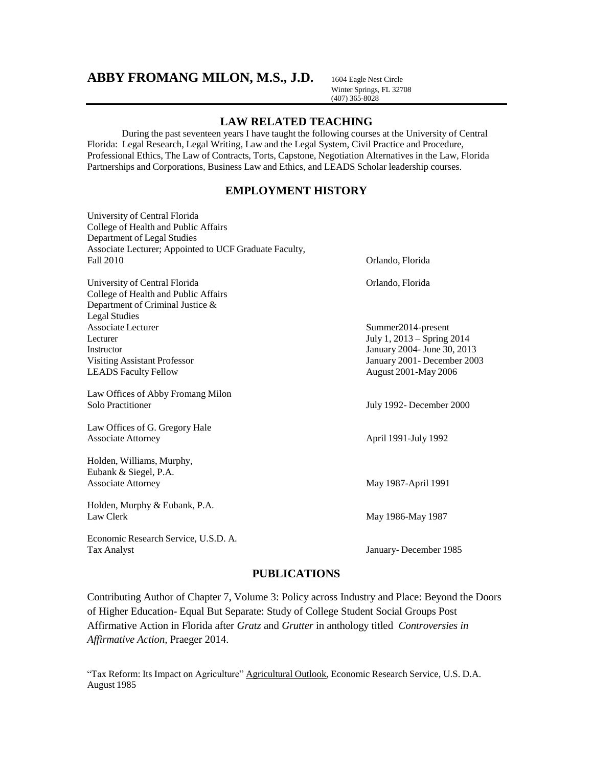# **ABBY FROMANG MILON, M.S., J.D.** <sup>1604</sup> Eagle Nest Circle

Winter Springs, FL 32708 (407) 365-8028

# **LAW RELATED TEACHING**

During the past seventeen years I have taught the following courses at the University of Central Florida: Legal Research, Legal Writing, Law and the Legal System, Civil Practice and Procedure, Professional Ethics, The Law of Contracts, Torts, Capstone, Negotiation Alternatives in the Law, Florida Partnerships and Corporations, Business Law and Ethics, and LEADS Scholar leadership courses.

# **EMPLOYMENT HISTORY**

| University of Central Florida                          |                              |
|--------------------------------------------------------|------------------------------|
| College of Health and Public Affairs                   |                              |
| Department of Legal Studies                            |                              |
| Associate Lecturer; Appointed to UCF Graduate Faculty, |                              |
| Fall 2010                                              | Orlando, Florida             |
| University of Central Florida                          | Orlando, Florida             |
| College of Health and Public Affairs                   |                              |
| Department of Criminal Justice &                       |                              |
| <b>Legal Studies</b>                                   |                              |
| Associate Lecturer                                     | Summer2014-present           |
| Lecturer                                               | July 1, 2013 – Spring 2014   |
| Instructor                                             | January 2004- June 30, 2013  |
| <b>Visiting Assistant Professor</b>                    | January 2001 - December 2003 |
| <b>LEADS</b> Faculty Fellow                            | August 2001-May 2006         |
| Law Offices of Abby Fromang Milon                      |                              |
| Solo Practitioner                                      | July 1992- December 2000     |
| Law Offices of G. Gregory Hale                         |                              |
| <b>Associate Attorney</b>                              | April 1991-July 1992         |
| Holden, Williams, Murphy,                              |                              |
| Eubank & Siegel, P.A.                                  |                              |
| <b>Associate Attorney</b>                              | May 1987-April 1991          |
| Holden, Murphy & Eubank, P.A.                          |                              |
| Law Clerk                                              | May 1986-May 1987            |
| Economic Research Service, U.S.D. A.                   |                              |
| <b>Tax Analyst</b>                                     | January-December 1985        |

# **PUBLICATIONS**

Contributing Author of Chapter 7, Volume 3: Policy across Industry and Place: Beyond the Doors of Higher Education- Equal But Separate: Study of College Student Social Groups Post Affirmative Action in Florida after *Gratz* and *Grutter* in anthology titled *Controversies in Affirmative Action,* Praeger 2014.

"Tax Reform: Its Impact on Agriculture" Agricultural Outlook, Economic Research Service, U.S. D.A. August 1985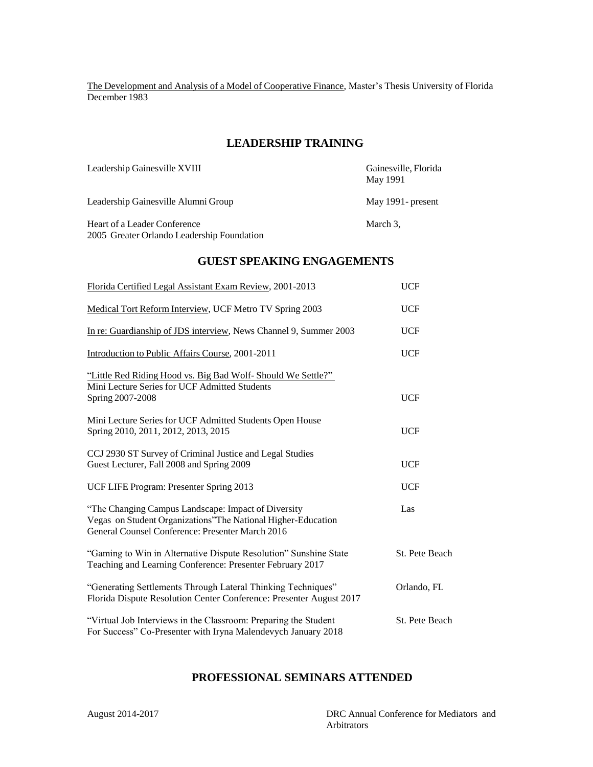The Development and Analysis of a Model of Cooperative Finance, Master's Thesis University of Florida December 1983

# **LEADERSHIP TRAINING**

| Leadership Gainesville XVIII                                               | Gainesville, Florida<br>May 1991 |
|----------------------------------------------------------------------------|----------------------------------|
| Leadership Gainesville Alumni Group                                        | May 1991- present                |
| Heart of a Leader Conference<br>2005 Greater Orlando Leadership Foundation | March 3,                         |

# **GUEST SPEAKING ENGAGEMENTS**

| Florida Certified Legal Assistant Exam Review, 2001-2013                                                                                                                 | <b>UCF</b>     |
|--------------------------------------------------------------------------------------------------------------------------------------------------------------------------|----------------|
| Medical Tort Reform Interview, UCF Metro TV Spring 2003                                                                                                                  | <b>UCF</b>     |
| In re: Guardianship of JDS interview, News Channel 9, Summer 2003                                                                                                        | <b>UCF</b>     |
| Introduction to Public Affairs Course, 2001-2011                                                                                                                         | <b>UCF</b>     |
| "Little Red Riding Hood vs. Big Bad Wolf- Should We Settle?"<br>Mini Lecture Series for UCF Admitted Students<br>Spring 2007-2008                                        | <b>UCF</b>     |
| Mini Lecture Series for UCF Admitted Students Open House<br>Spring 2010, 2011, 2012, 2013, 2015                                                                          | <b>UCF</b>     |
| CCJ 2930 ST Survey of Criminal Justice and Legal Studies<br>Guest Lecturer, Fall 2008 and Spring 2009                                                                    | <b>UCF</b>     |
| UCF LIFE Program: Presenter Spring 2013                                                                                                                                  | <b>UCF</b>     |
| "The Changing Campus Landscape: Impact of Diversity<br>Vegas on Student Organizations" The National Higher-Education<br>General Counsel Conference: Presenter March 2016 | Las            |
| "Gaming to Win in Alternative Dispute Resolution" Sunshine State<br>Teaching and Learning Conference: Presenter February 2017                                            | St. Pete Beach |
| "Generating Settlements Through Lateral Thinking Techniques"<br>Florida Dispute Resolution Center Conference: Presenter August 2017                                      | Orlando, FL    |
| "Virtual Job Interviews in the Classroom: Preparing the Student<br>For Success" Co-Presenter with Iryna Malendevych January 2018                                         | St. Pete Beach |

# **PROFESSIONAL SEMINARS ATTENDED**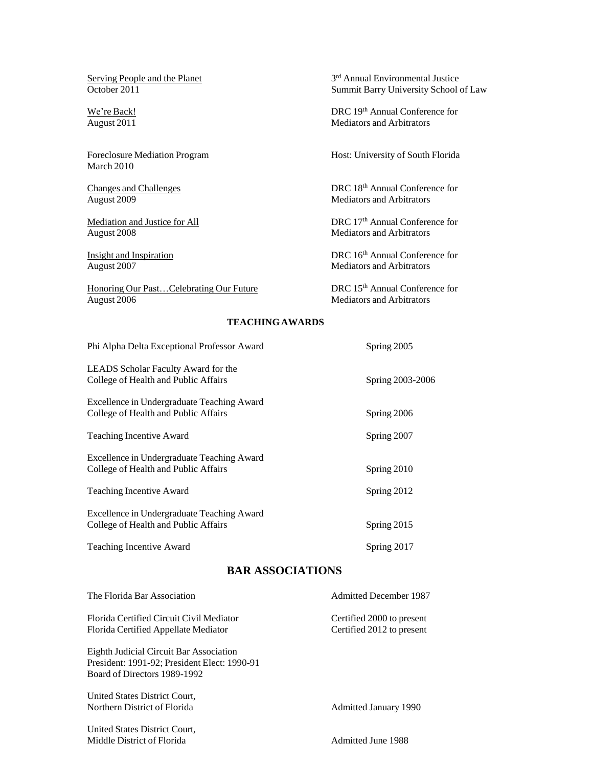Serving People and the Planet<br>October 2011

March 2010

August 2008 Mediators and Arbitrators

Honoring Our Past...Celebrating Our Future DRC 15<sup>th</sup> Annual Conference for August 2006 Mediators and Arbitrators

3<sup>rd</sup> Annual Environmental Justice Summit Barry University School of Law

We're Back! DRC 19th Annual Conference for August 2011 Mediators and Arbitrators

Foreclosure Mediation Program Host: University of South Florida

Changes and Challenges<br>
DRC 18<sup>th</sup> Annual Conference for<br>
Mediators and Arbitrators Mediators and Arbitrators

Mediation and Justice for All DRC 17<sup>th</sup> Annual Conference for

Insight and Inspiration DRC 16<sup>th</sup> Annual Conference for August 2007 **DRC 16th** Annual Conference for Mediators and Arbitrators

Mediators and Arbitrators

#### **TEACHINGAWARDS**

| Phi Alpha Delta Exceptional Professor Award                                        | Spring 2005      |
|------------------------------------------------------------------------------------|------------------|
| LEADS Scholar Faculty Award for the<br>College of Health and Public Affairs        | Spring 2003-2006 |
| Excellence in Undergraduate Teaching Award<br>College of Health and Public Affairs | Spring 2006      |
| <b>Teaching Incentive Award</b>                                                    | Spring 2007      |
| Excellence in Undergraduate Teaching Award<br>College of Health and Public Affairs | Spring 2010      |
| <b>Teaching Incentive Award</b>                                                    | Spring 2012      |
| Excellence in Undergraduate Teaching Award<br>College of Health and Public Affairs | Spring 2015      |
| Teaching Incentive Award                                                           | Spring 2017      |

# **BAR ASSOCIATIONS**

| The Florida Bar Association                  | <b>Admitted December 1987</b> |
|----------------------------------------------|-------------------------------|
| Florida Certified Circuit Civil Mediator     | Certified 2000 to present     |
| Florida Certified Appellate Mediator         | Certified 2012 to present     |
| Eighth Judicial Circuit Bar Association      |                               |
| President: 1991-92; President Elect: 1990-91 |                               |
| Board of Directors 1989-1992                 |                               |
| United States District Court.                |                               |
| Northern District of Florida                 | Admitted January 1990         |
| United States District Court.                |                               |
| Middle District of Florida                   | <b>Admitted June 1988</b>     |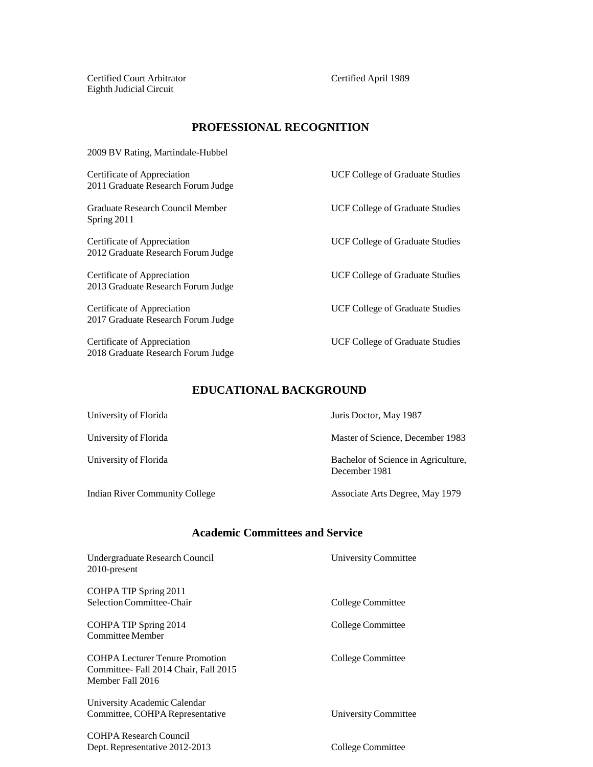Certified Court Arbitrator Certified April 1989 Eighth Judicial Circuit

# **PROFESSIONAL RECOGNITION**

2009 BV Rating, Martindale-Hubbel

Certificate of Appreciation UCF College of Graduate Studies 2011 Graduate Research Forum Judge

Graduate Research Council Member UCF College of Graduate Studies Spring 2011

Certificate of Appreciation UCF College of Graduate Studies 2012 Graduate Research Forum Judge

Certificate of Appreciation UCF College of Graduate Studies 2013 Graduate Research Forum Judge

Certificate of Appreciation UCF College of Graduate Studies 2017 Graduate Research Forum Judge

Certificate of Appreciation UCF College of Graduate Studies 2018 Graduate Research Forum Judge

# **EDUCATIONAL BACKGROUND**

Indian River Community College Associate Arts Degree, May 1979

University of Florida Juris Doctor, May 1987

University of Florida Master of Science, December 1983

University of Florida **Bachelor** Bachelor of Science in Agriculture, December 1981

# **Academic Committees and Service**

| Undergraduate Research Council<br>$2010$ -present                                                  | University Committee |
|----------------------------------------------------------------------------------------------------|----------------------|
| COHPA TIP Spring 2011<br>Selection Committee-Chair                                                 | College Committee    |
| COHPA TIP Spring 2014<br>Committee Member                                                          | College Committee    |
| <b>COHPA Lecturer Tenure Promotion</b><br>Committee-Fall 2014 Chair, Fall 2015<br>Member Fall 2016 | College Committee    |
| University Academic Calendar<br>Committee, COHPA Representative                                    | University Committee |
| <b>COHPA Research Council</b>                                                                      |                      |

Dept. Representative 2012-2013 College Committee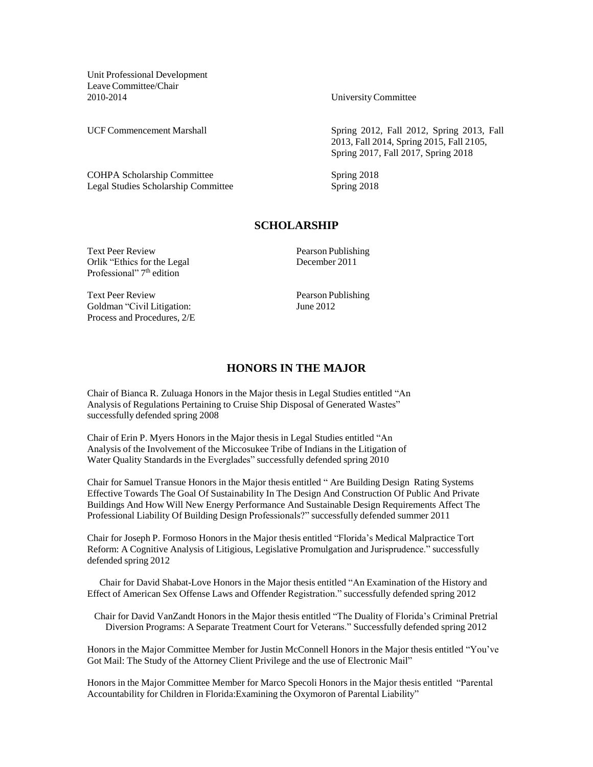Unit Professional Development LeaveCommittee/Chair 2010-2014 UniversityCommittee

COHPA Scholarship Committee Spring 2018 Legal Studies Scholarship Committee Spring 2018

UCF Commencement Marshall Spring 2012, Fall 2012, Spring 2013, Fall 2013, Fall 2014, Spring 2015, Fall 2105, Spring 2017, Fall 2017, Spring 2018

#### **SCHOLARSHIP**

Text Peer Review Pearson Publishing Orlik "Ethics for the Legal December 2011 Professional" 7<sup>th</sup> edition

Text Peer Review Pearson Publishing Goldman "Civil Litigation: June 2012 Process and Procedures, 2/E

#### **HONORS IN THE MAJOR**

Chair of Bianca R. Zuluaga Honors in the Major thesis in Legal Studies entitled "An Analysis of Regulations Pertaining to Cruise Ship Disposal of Generated Wastes" successfully defended spring 2008

Chair of Erin P. Myers Honors in the Major thesis in Legal Studies entitled "An Analysis of the Involvement of the Miccosukee Tribe of Indians in the Litigation of Water Quality Standards in the Everglades" successfully defended spring 2010

Chair for Samuel Transue Honors in the Major thesis entitled " Are Building Design Rating Systems Effective Towards The Goal Of Sustainability In The Design And Construction Of Public And Private Buildings And How Will New Energy Performance And Sustainable Design Requirements Affect The Professional Liability Of Building Design Professionals?" successfully defended summer 2011

Chair for Joseph P. Formoso Honors in the Major thesis entitled "Florida's Medical Malpractice Tort Reform: A Cognitive Analysis of Litigious, Legislative Promulgation and Jurisprudence." successfully defended spring 2012

Chair for David Shabat-Love Honors in the Major thesis entitled "An Examination of the History and Effect of American Sex Offense Laws and Offender Registration." successfully defended spring 2012

Chair for David VanZandt Honors in the Major thesis entitled "The Duality of Florida's Criminal Pretrial Diversion Programs: A Separate Treatment Court for Veterans." Successfully defended spring 2012

Honors in the Major Committee Member for Justin McConnell Honors in the Major thesis entitled "You've Got Mail: The Study of the Attorney Client Privilege and the use of Electronic Mail"

Honors in the Major Committee Member for Marco Specoli Honors in the Major thesis entitled "Parental Accountability for Children in Florida:Examining the Oxymoron of Parental Liability"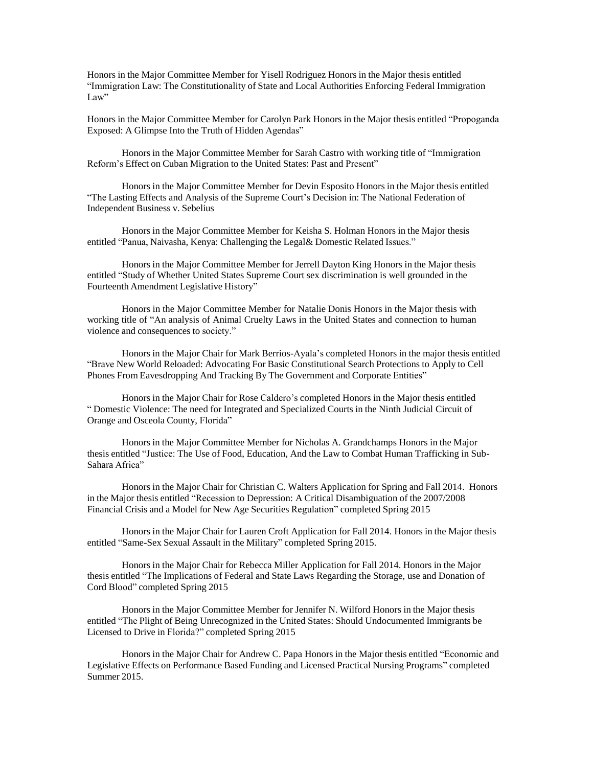Honors in the Major Committee Member for Yisell Rodriguez Honors in the Major thesis entitled "Immigration Law: The Constitutionality of State and Local Authorities Enforcing Federal Immigration Law"

Honors in the Major Committee Member for Carolyn Park Honors in the Major thesis entitled "Propoganda Exposed: A Glimpse Into the Truth of Hidden Agendas"

Honors in the Major Committee Member for Sarah Castro with working title of "Immigration Reform's Effect on Cuban Migration to the United States: Past and Present"

Honors in the Major Committee Member for Devin Esposito Honors in the Major thesis entitled "The Lasting Effects and Analysis of the Supreme Court's Decision in: The National Federation of Independent Business v. Sebelius

Honors in the Major Committee Member for Keisha S. Holman Honors in the Major thesis entitled "Panua, Naivasha, Kenya: Challenging the Legal& Domestic Related Issues."

Honors in the Major Committee Member for Jerrell Dayton King Honors in the Major thesis entitled "Study of Whether United States Supreme Court sex discrimination is well grounded in the Fourteenth Amendment Legislative History"

Honors in the Major Committee Member for Natalie Donis Honors in the Major thesis with working title of "An analysis of Animal Cruelty Laws in the United States and connection to human violence and consequences to society."

Honors in the Major Chair for Mark Berrios-Ayala's completed Honors in the major thesis entitled "Brave New World Reloaded: Advocating For Basic Constitutional Search Protections to Apply to Cell Phones From Eavesdropping And Tracking By The Government and Corporate Entities"

Honors in the Major Chair for Rose Caldero's completed Honors in the Major thesis entitled " Domestic Violence: The need for Integrated and Specialized Courts in the Ninth Judicial Circuit of Orange and Osceola County, Florida"

Honors in the Major Committee Member for Nicholas A. Grandchamps Honors in the Major thesis entitled "Justice: The Use of Food, Education, And the Law to Combat Human Trafficking in Sub-Sahara Africa"

Honors in the Major Chair for Christian C. Walters Application for Spring and Fall 2014. Honors in the Major thesis entitled "Recession to Depression: A Critical Disambiguation of the 2007/2008 Financial Crisis and a Model for New Age Securities Regulation" completed Spring 2015

Honors in the Major Chair for Lauren Croft Application for Fall 2014. Honors in the Major thesis entitled "Same-Sex Sexual Assault in the Military" completed Spring 2015.

Honors in the Major Chair for Rebecca Miller Application for Fall 2014. Honors in the Major thesis entitled "The Implications of Federal and State Laws Regarding the Storage, use and Donation of Cord Blood" completed Spring 2015

Honors in the Major Committee Member for Jennifer N. Wilford Honors in the Major thesis entitled "The Plight of Being Unrecognized in the United States: Should Undocumented Immigrants be Licensed to Drive in Florida?" completed Spring 2015

Honors in the Major Chair for Andrew C. Papa Honors in the Major thesis entitled "Economic and Legislative Effects on Performance Based Funding and Licensed Practical Nursing Programs" completed Summer 2015.